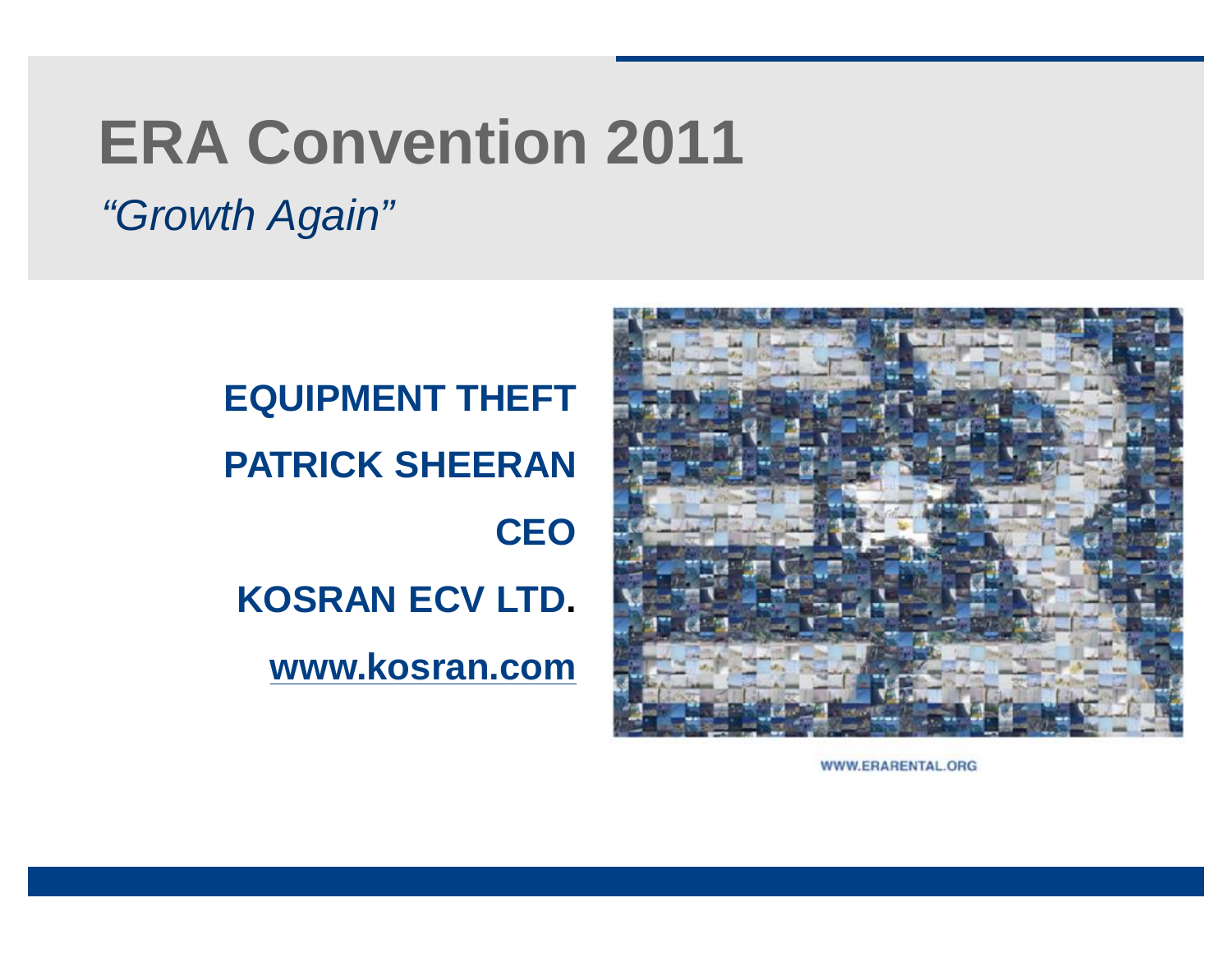# **ERA Convention 2011**

*"Growth Again"*

**EQUIPMENT THEFT PATRICK SHEERAN CEO KOSRAN ECV LTD. [www.kosran.com](http://www.kosran.com)**



WWW.ERARENTAL.ORG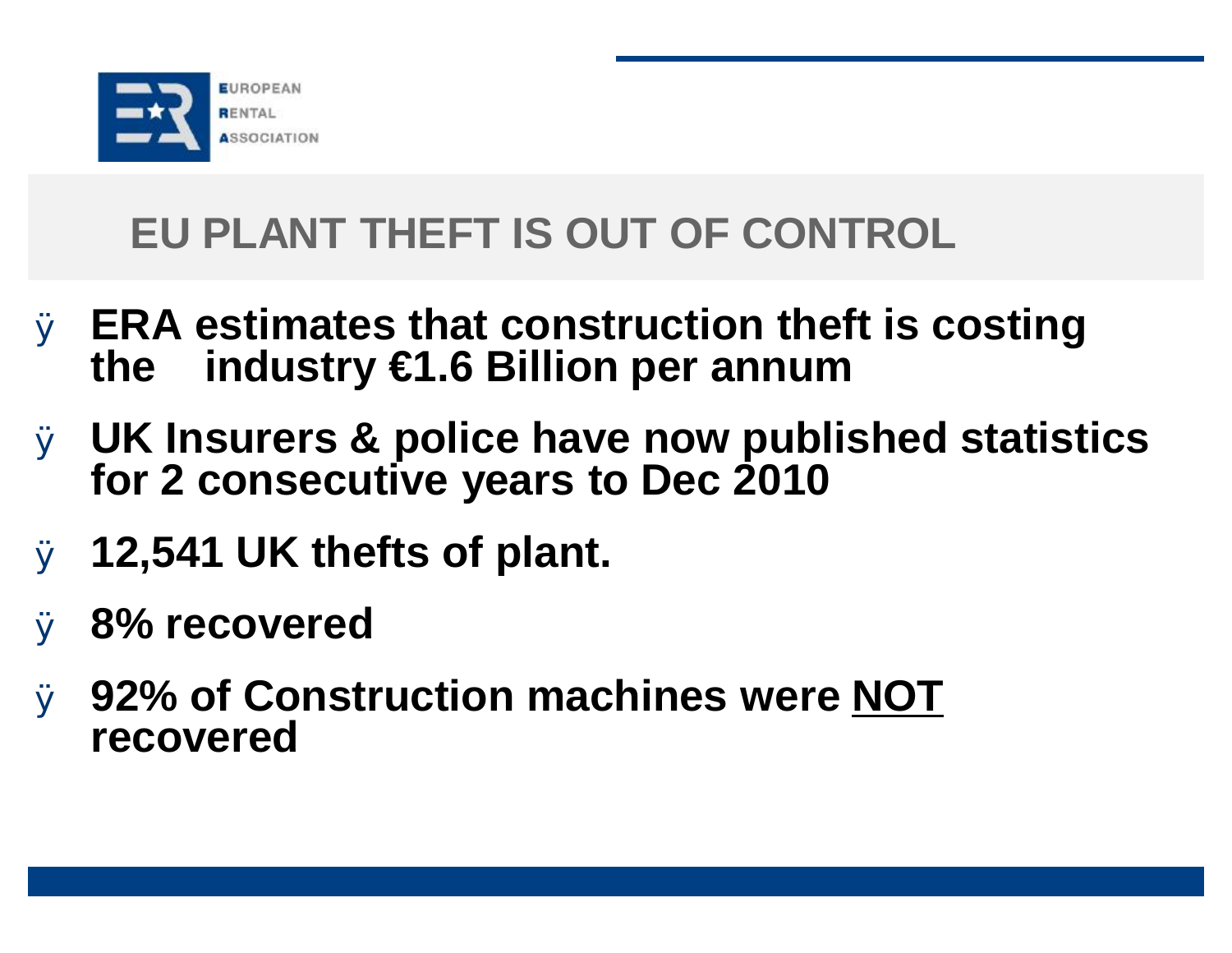

# **EU PLANT THEFT IS OUT OF CONTROL**

- Ø **ERA estimates that construction theft is costing the industry €1.6 Billion per annum**
- Ø **UK Insurers & police have now published statistics for 2 consecutive years to Dec 2010**
- Ø **12,541 UK thefts of plant.**
- Ø **8% recovered**
- Ø **92% of Construction machines were NOT recovered**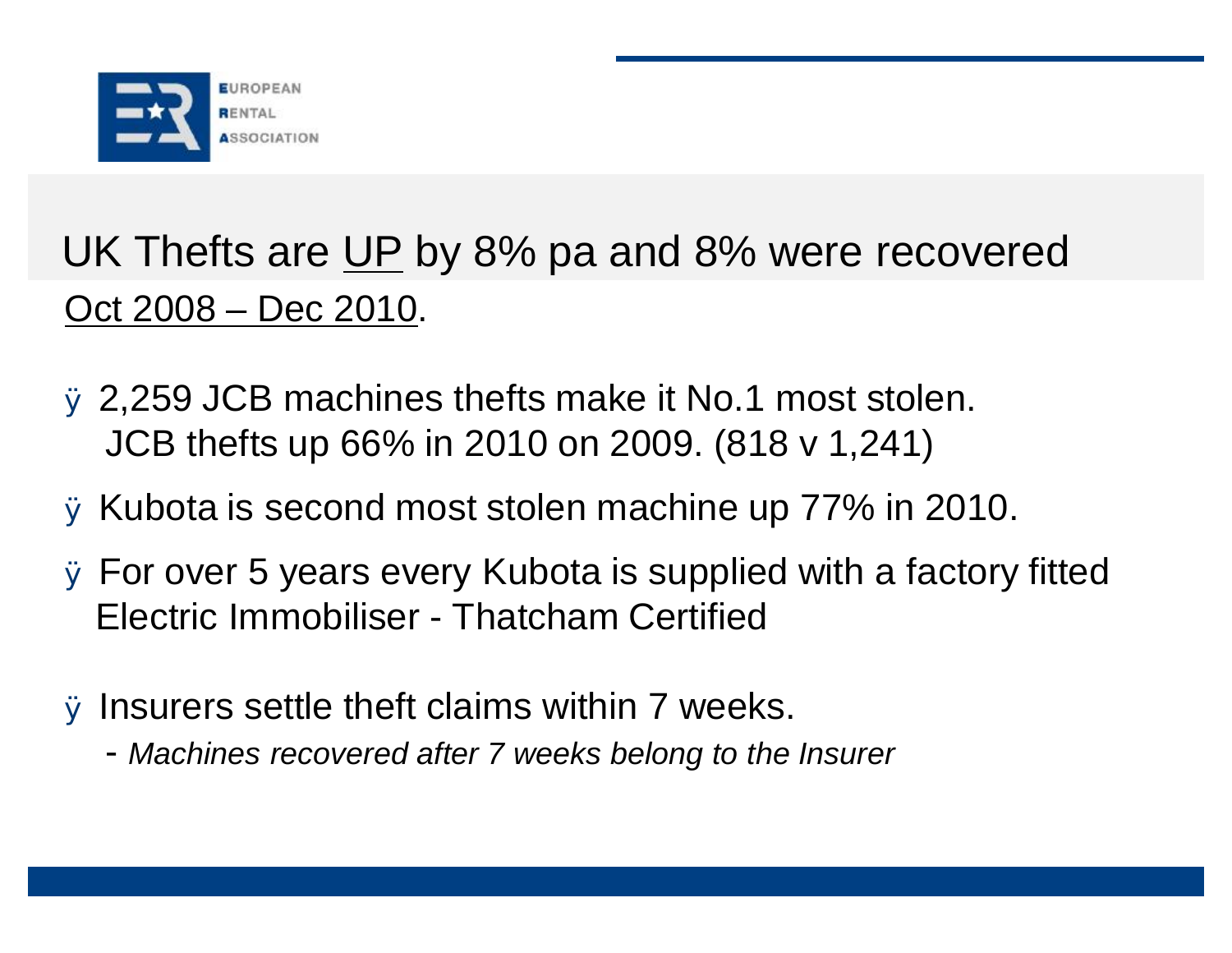

# UK Thefts are UP by 8% pa and 8% were recovered Oct 2008 – Dec 2010.

- Ø 2,259 JCB machines thefts make it No.1 most stolen. JCB thefts up 66% in 2010 on 2009. (818 v 1,241)
- Ø Kubota is second most stolen machine up 77% in 2010.
- Ø For over 5 years every Kubota is supplied with a factory fitted Electric Immobiliser - Thatcham Certified
- Ø Insurers settle theft claims within 7 weeks.
	- *Machines recovered after 7 weeks belong to the Insurer*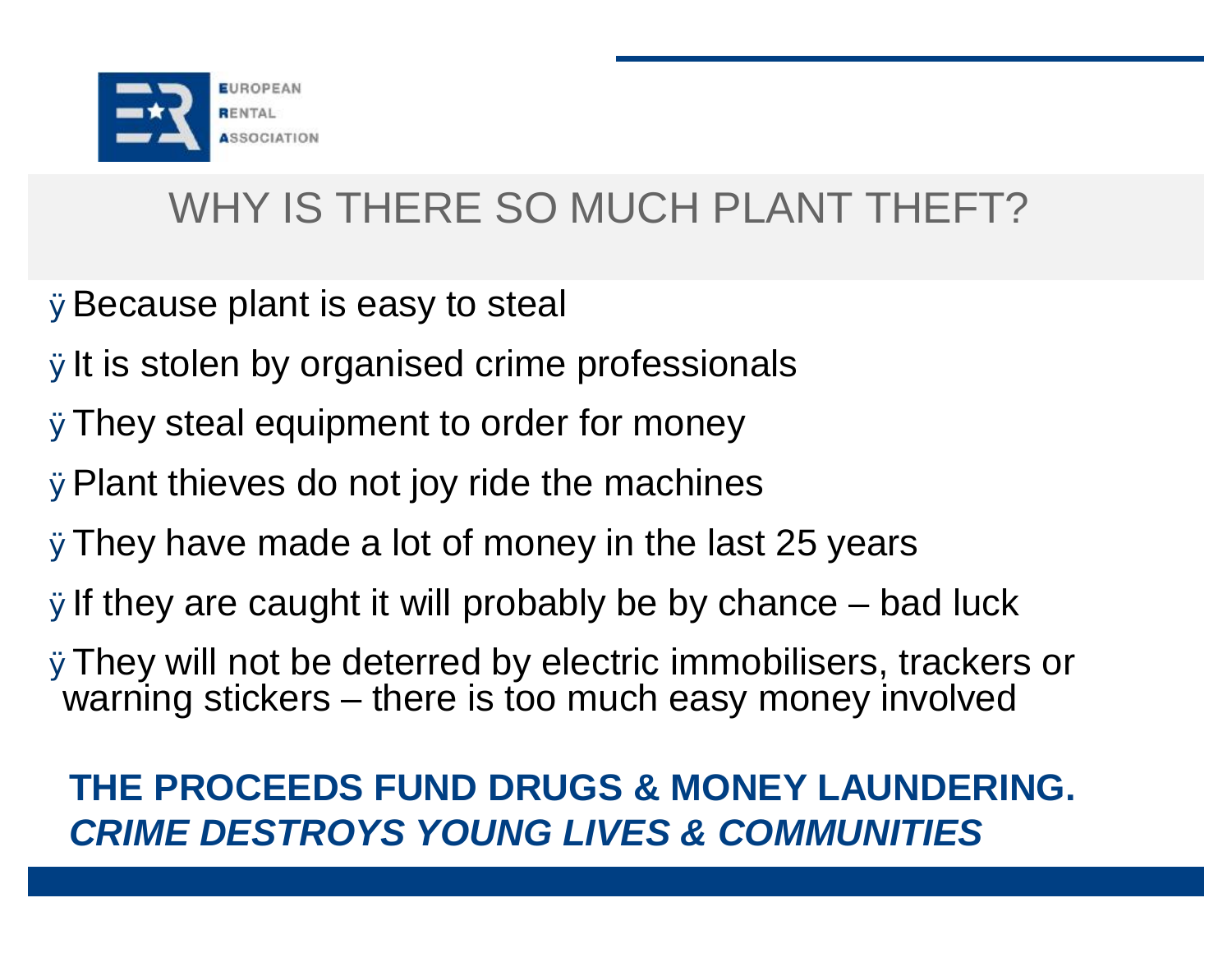

# WHY IS THERE SO MUCH PLANT THEFT?

ØBecause plant is easy to steal

- ØIt is stolen by organised crime professionals
- ØThey steal equipment to order for money
- ØPlant thieves do not joy ride the machines
- ØThey have made a lot of money in the last 25 years
- $\emptyset$  of they are caught it will probably be by chance bad luck
- ØThey will not be deterred by electric immobilisers, trackers or warning stickers – there is too much easy money involved

#### **THE PROCEEDS FUND DRUGS & MONEY LAUNDERING.** *CRIME DESTROYS YOUNG LIVES & COMMUNITIES*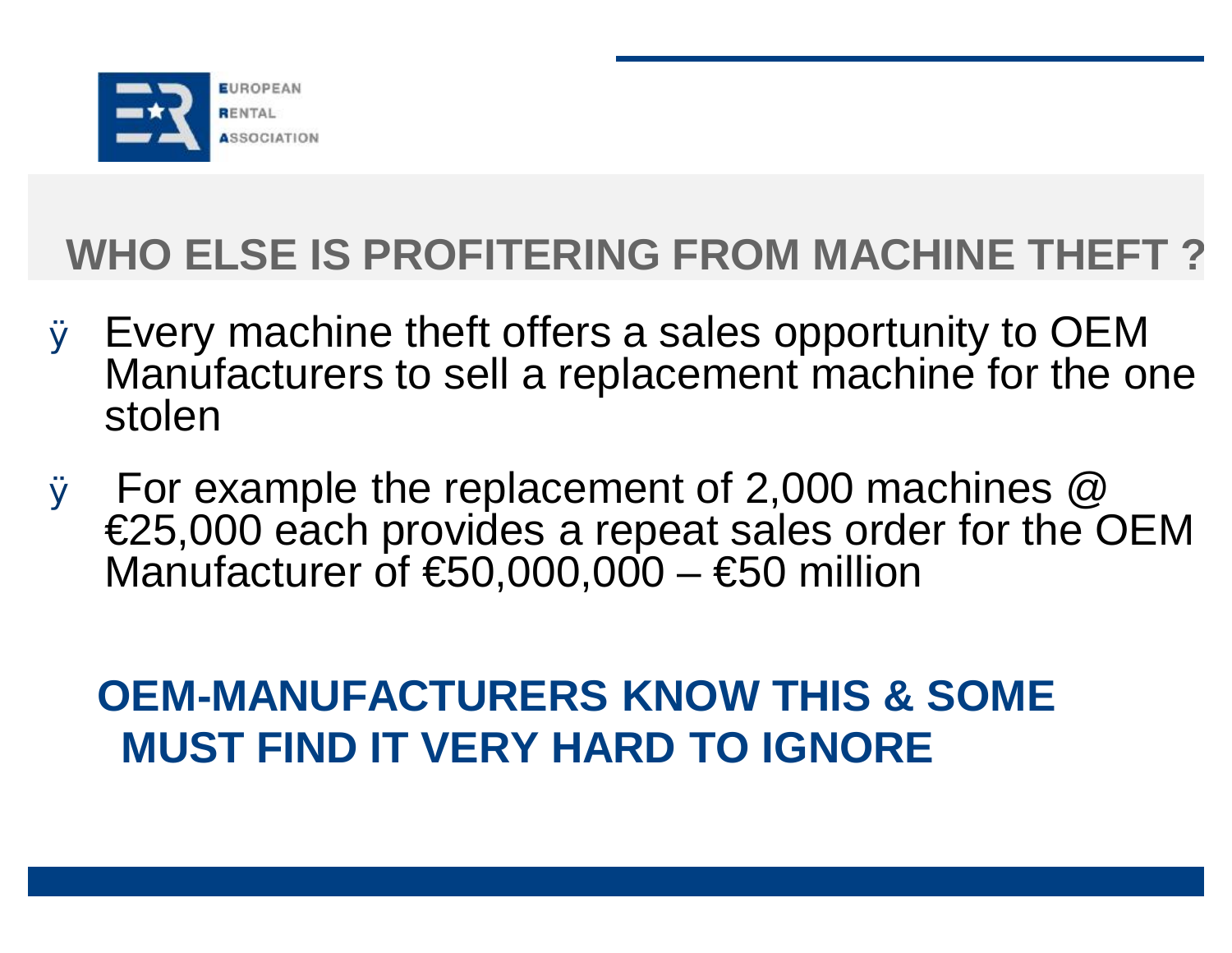

# **WHO ELSE IS PROFITERING FROM MACHINE THEFT ?**

- Ø Every machine theft offers a sales opportunity to OEM Manufacturers to sell a replacement machine for the one stolen
- Ø For example the replacement of 2,000 machines @ €25,000 each provides a repeat sales order for the OEM Manufacturer of  $\text{\$}50,000,000 - \text{\$}50$  million

# **OEM-MANUFACTURERS KNOW THIS & SOME MUST FIND IT VERY HARD TO IGNORE**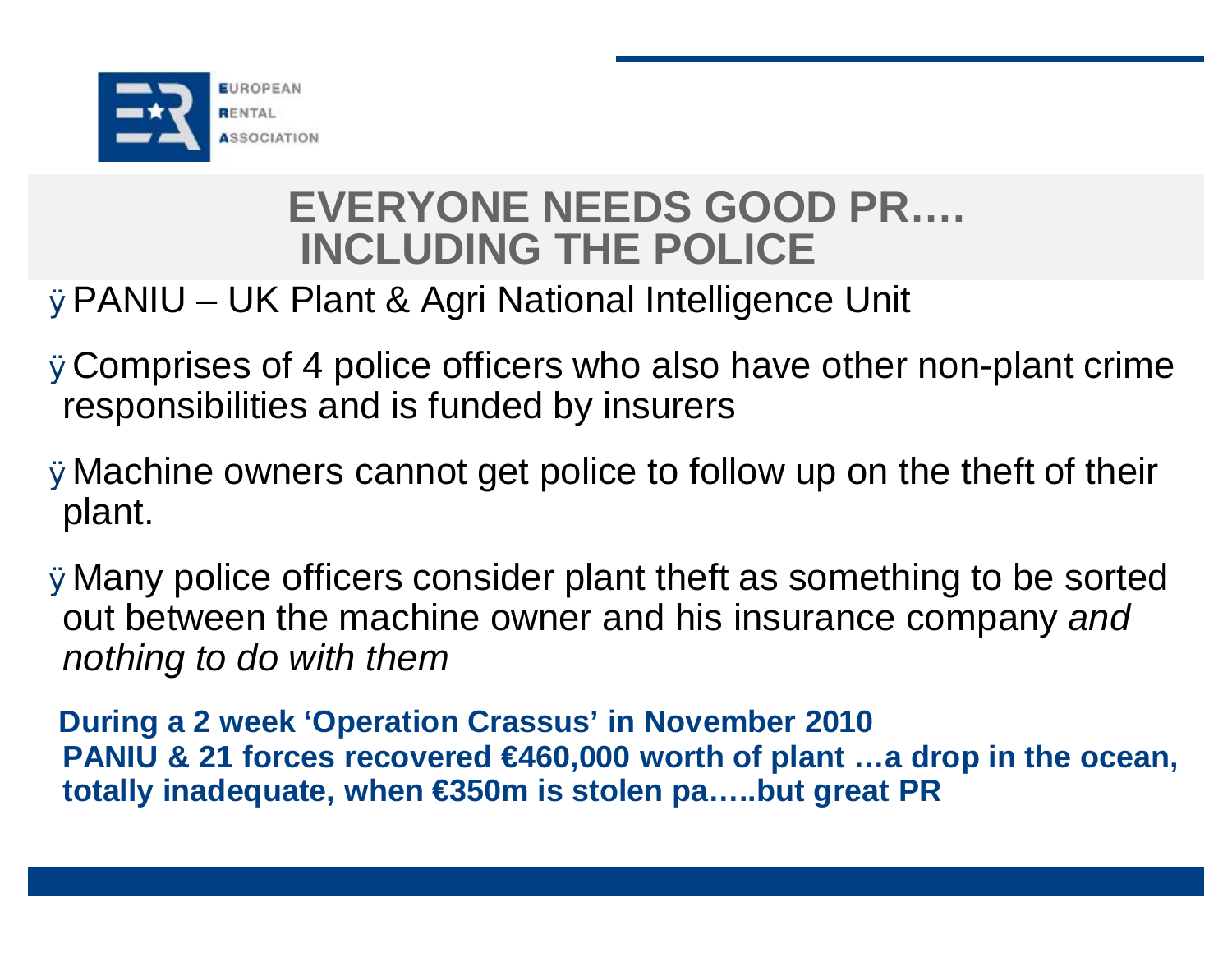

### **EVERYONE NEEDS GOOD PR…. INCLUDING THE POLICE**

#### ØPANIU – UK Plant & Agri National Intelligence Unit

- ØComprises of 4 police officers who also have other non-plant crime responsibilities and is funded by insurers
- ØMachine owners cannot get police to follow up on the theft of their plant.
- ØMany police officers consider plant theft as something to be sorted out between the machine owner and his insurance company *and nothing to do with them*

**During a 2 week 'Operation Crassus' in November 2010 PANIU & 21 forces recovered €460,000 worth of plant …a drop in the ocean, totally inadequate, when €350m is stolen pa…..but great PR**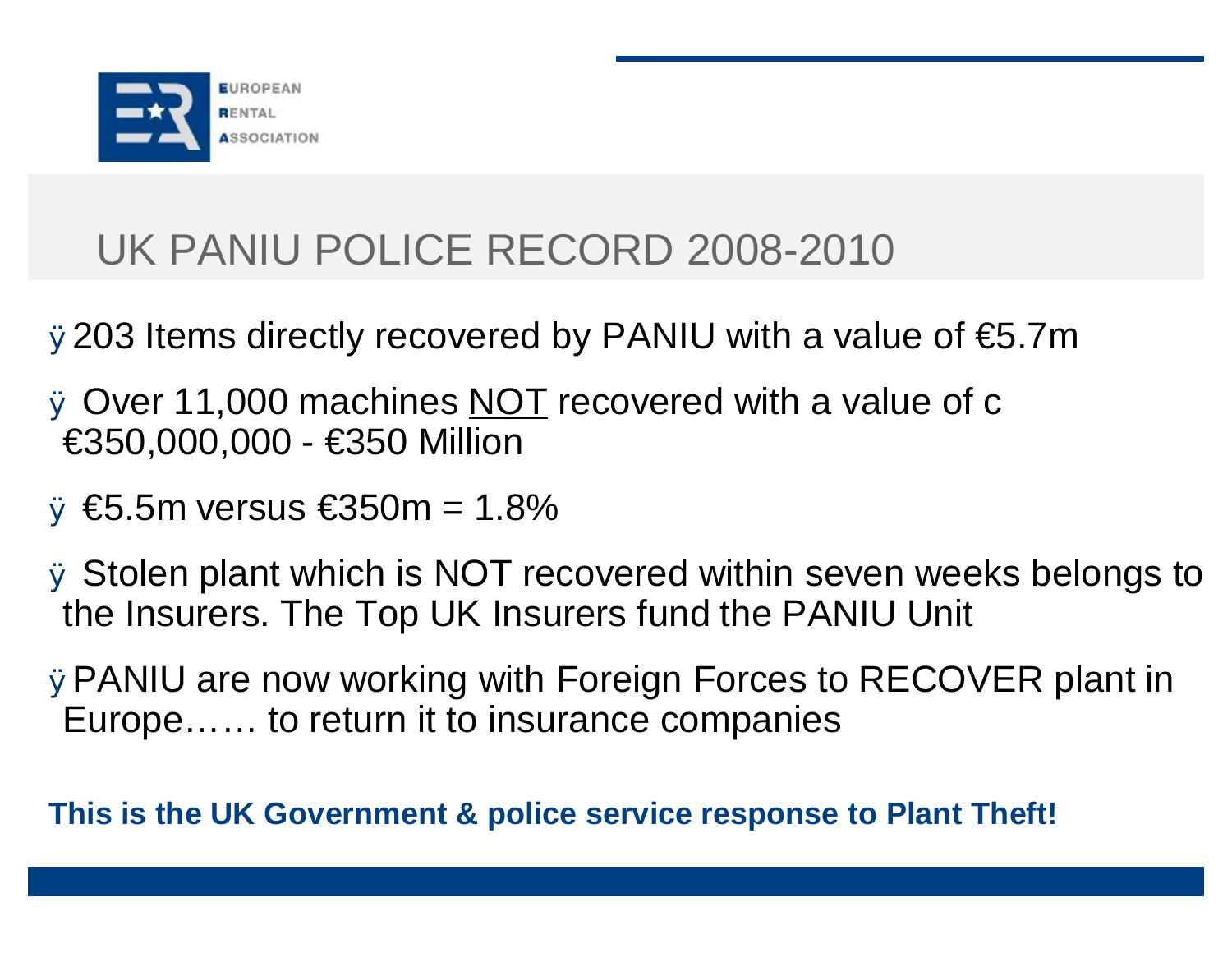

# UK PANIU POLICE RECORD 2008-2010

Ø203 Items directly recovered by PANIU with a value of €5.7m

Ø Over 11,000 machines NOT recovered with a value of c €350,000,000 - €350 Million

 $\emptyset \in$  5.5m versus  $\in$ 350m = 1.8%

Ø Stolen plant which is NOT recovered within seven weeks belongs to the Insurers. The Top UK Insurers fund the PANIU Unit

ØPANIU are now working with Foreign Forces to RECOVER plant in Europe…… to return it to insurance companies

**This is the UK Government & police service response to Plant Theft!**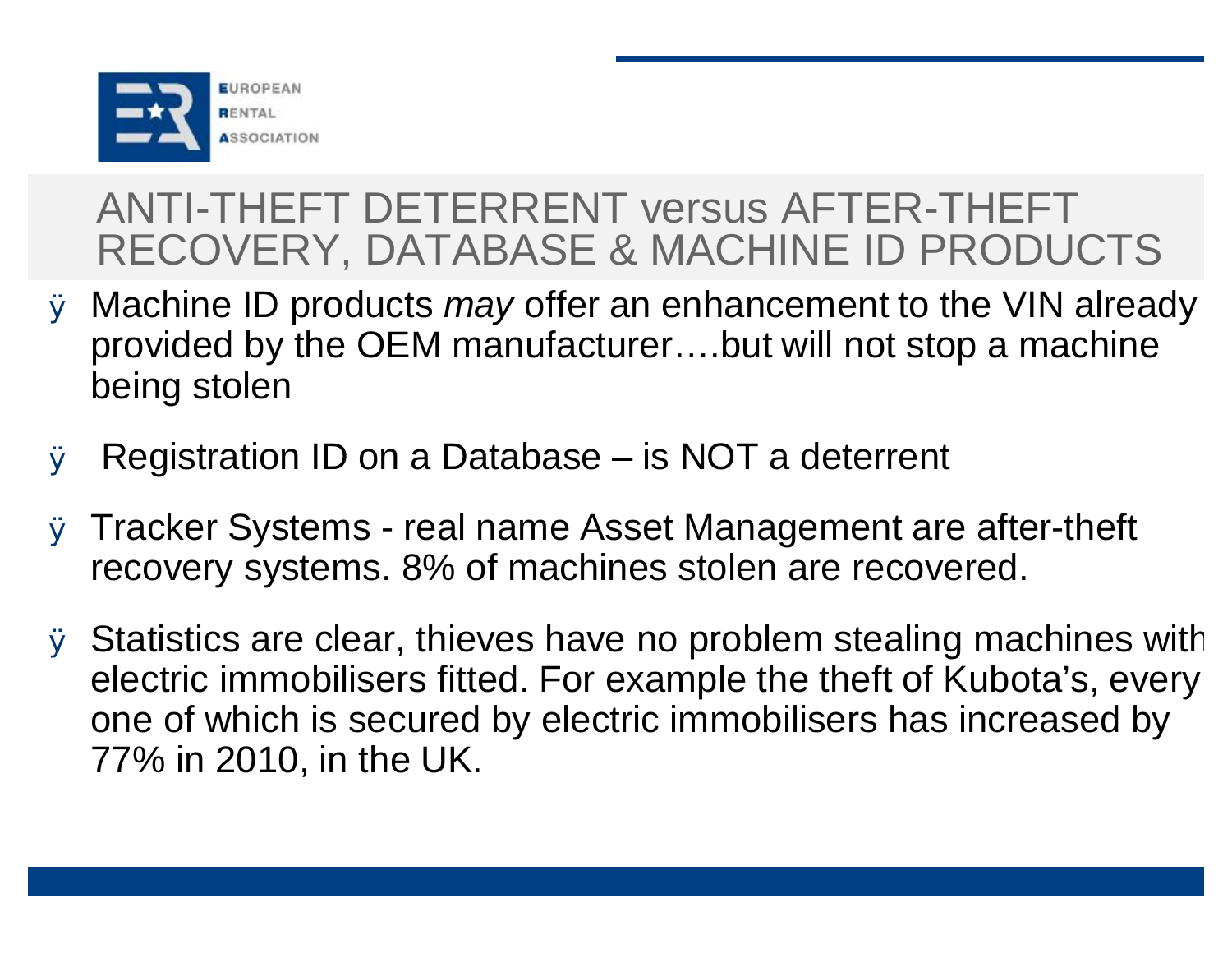

# ANTI-THEFT DETERRENT versus AFTER-THEFT RECOVERY, DATABASE & MACHINE ID PRODUCTS

- Ø Machine ID products *may* offer an enhancement to the VIN already provided by the OEM manufacturer….but will not stop a machine being stolen
- Ø Registration ID on a Database is NOT a deterrent
- Ø Tracker Systems real name Asset Management are after-theft recovery systems. 8% of machines stolen are recovered.
- Ø Statistics are clear, thieves have no problem stealing machines with electric immobilisers fitted. For example the theft of Kubota's, every one of which is secured by electric immobilisers has increased by 77% in 2010, in the UK.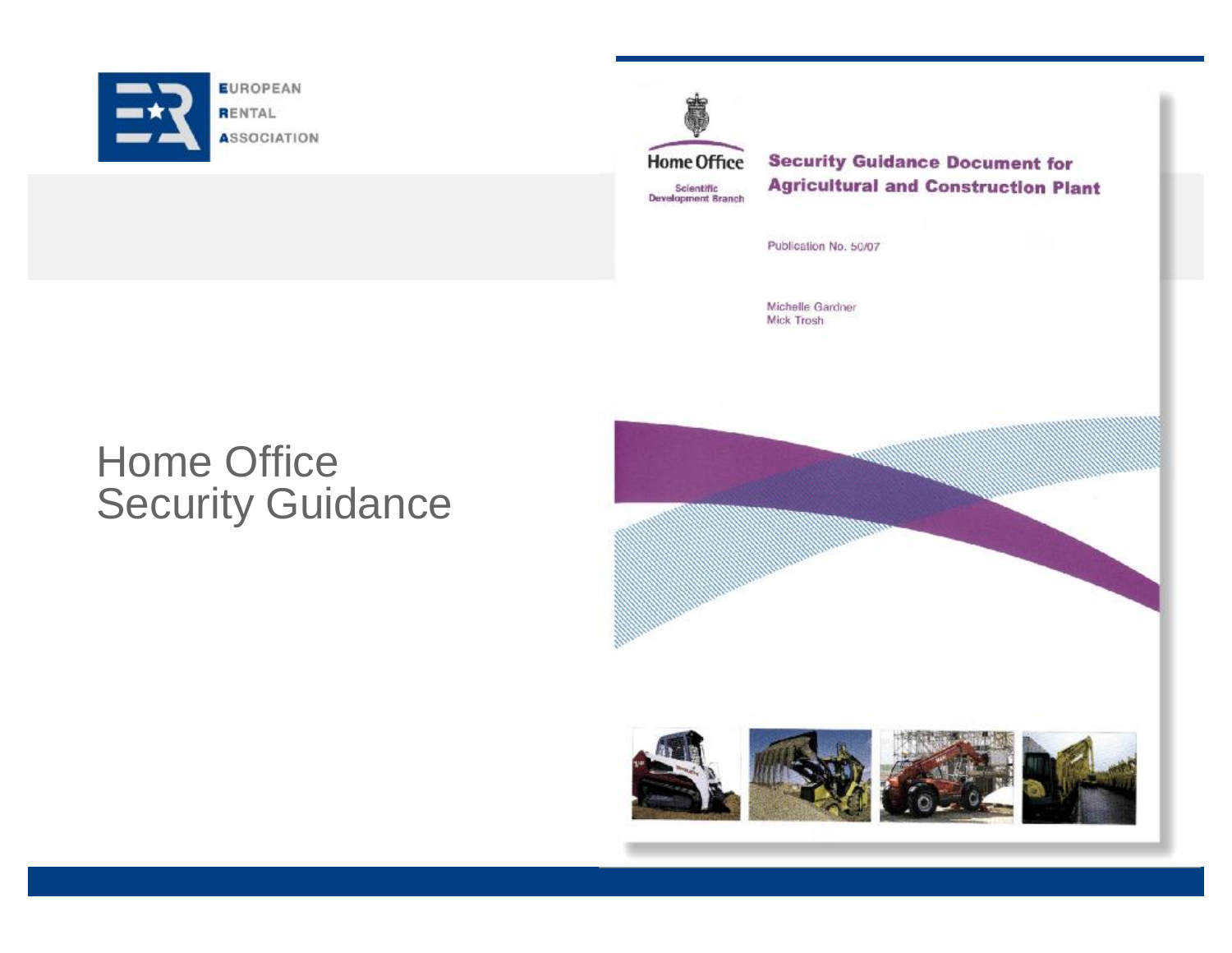

**Home Office** Scientific<br>Development Branch

**Security Guidance Document for Agricultural and Construction Plant** 

Publication No. 50/07

Michelle Gardner Mick Trosh

## Home Office Security Guidance

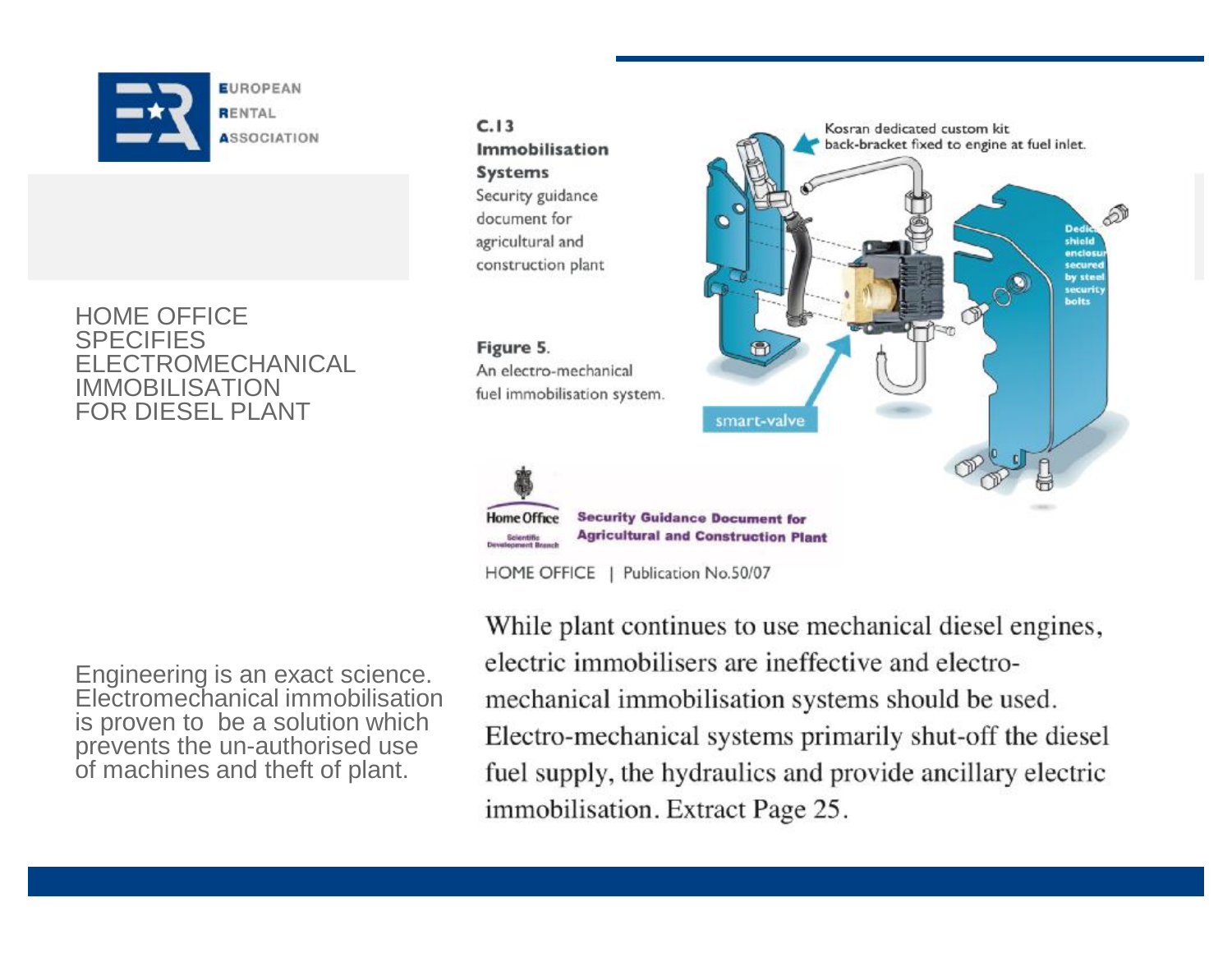

HOME OFFICE **SPECIFIES** ELECTROMECHANICAL IMMOBILISATION FOR DIESEL PLANT

Engineering is an exact science. Electromechanical immobilisation is proven to be a solution which prevents the un-authorised use of machines and theft of plant.

 $C.13$ Immobilisation **Systems** Security guidance document for agricultural and construction plant

Figure 5. An electro-mechanical fuel immobilisation system.



While plant continues to use mechanical diesel engines, electric immobilisers are ineffective and electromechanical immobilisation systems should be used. Electro-mechanical systems primarily shut-off the diesel fuel supply, the hydraulics and provide ancillary electric immobilisation. Extract Page 25.

smart-valve

Kosran dedicated custom kit

back-bracket fixed to engine at fuel inlet.

shield enclost

secured by stee securit bolts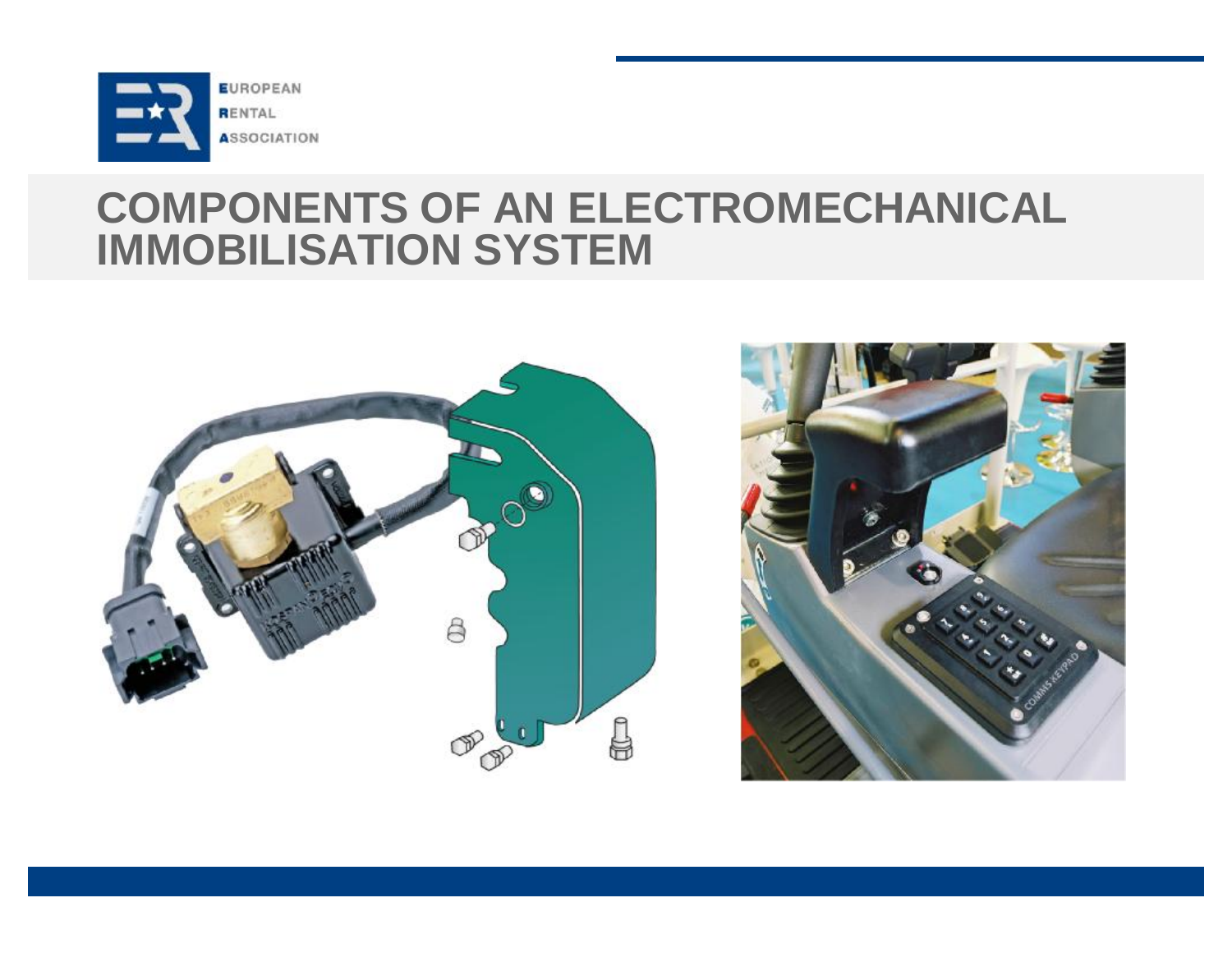

#### **COMPONENTS OF AN ELECTROMECHANICAL IMMOBILISATION SYSTEM**



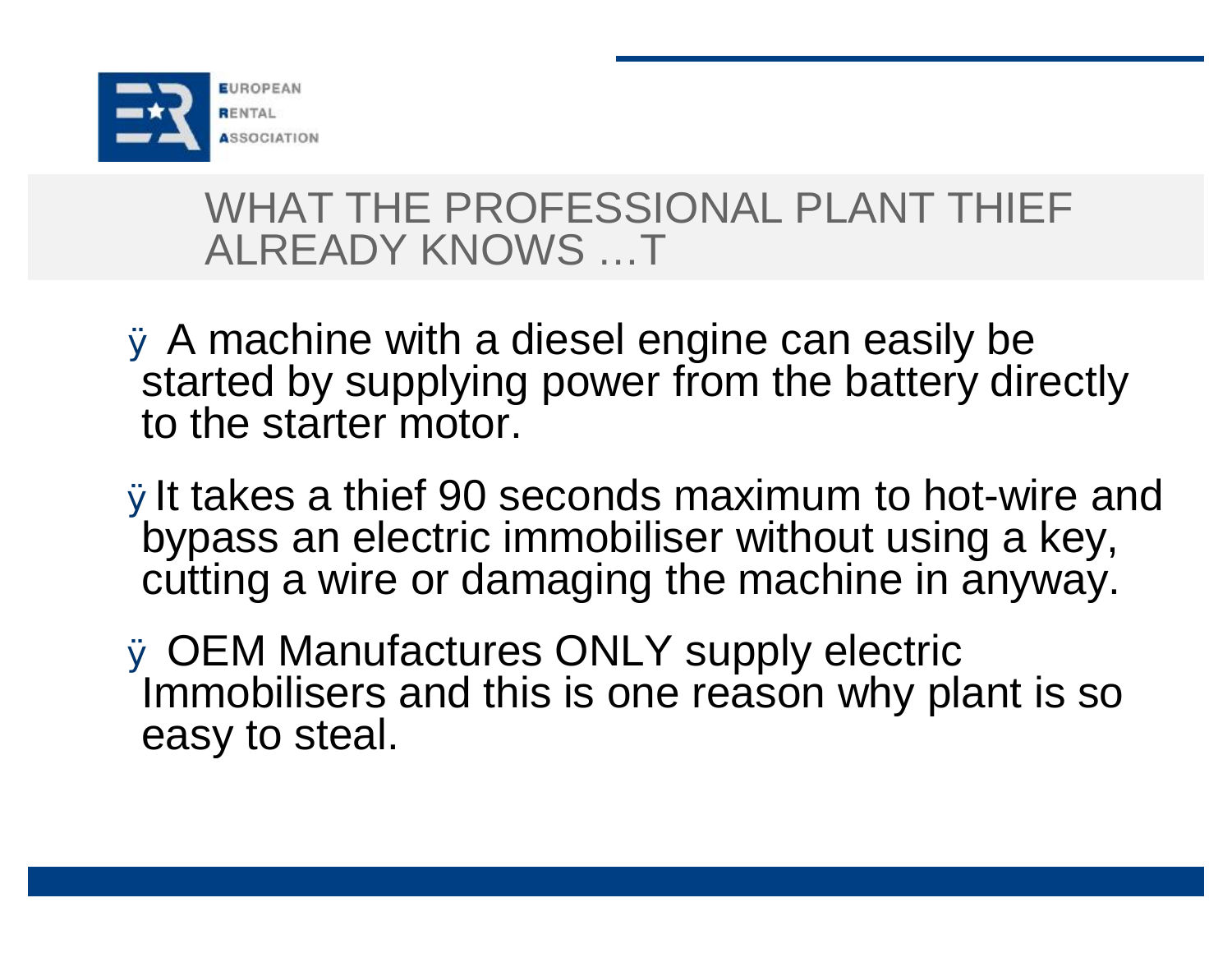

#### WHAT THE PROFESSIONAL PLANT THIEF ALREADY KNOWS …T

- Ø A machine with a diesel engine can easily be started by supplying power from the battery directly to the starter motor.
- ØIt takes a thief 90 seconds maximum to hot-wire and bypass an electric immobiliser without using a key, cutting a wire or damaging the machine in anyway.
- Ø OEM Manufactures ONLY supply electric Immobilisers and this is one reason why plant is so easy to steal.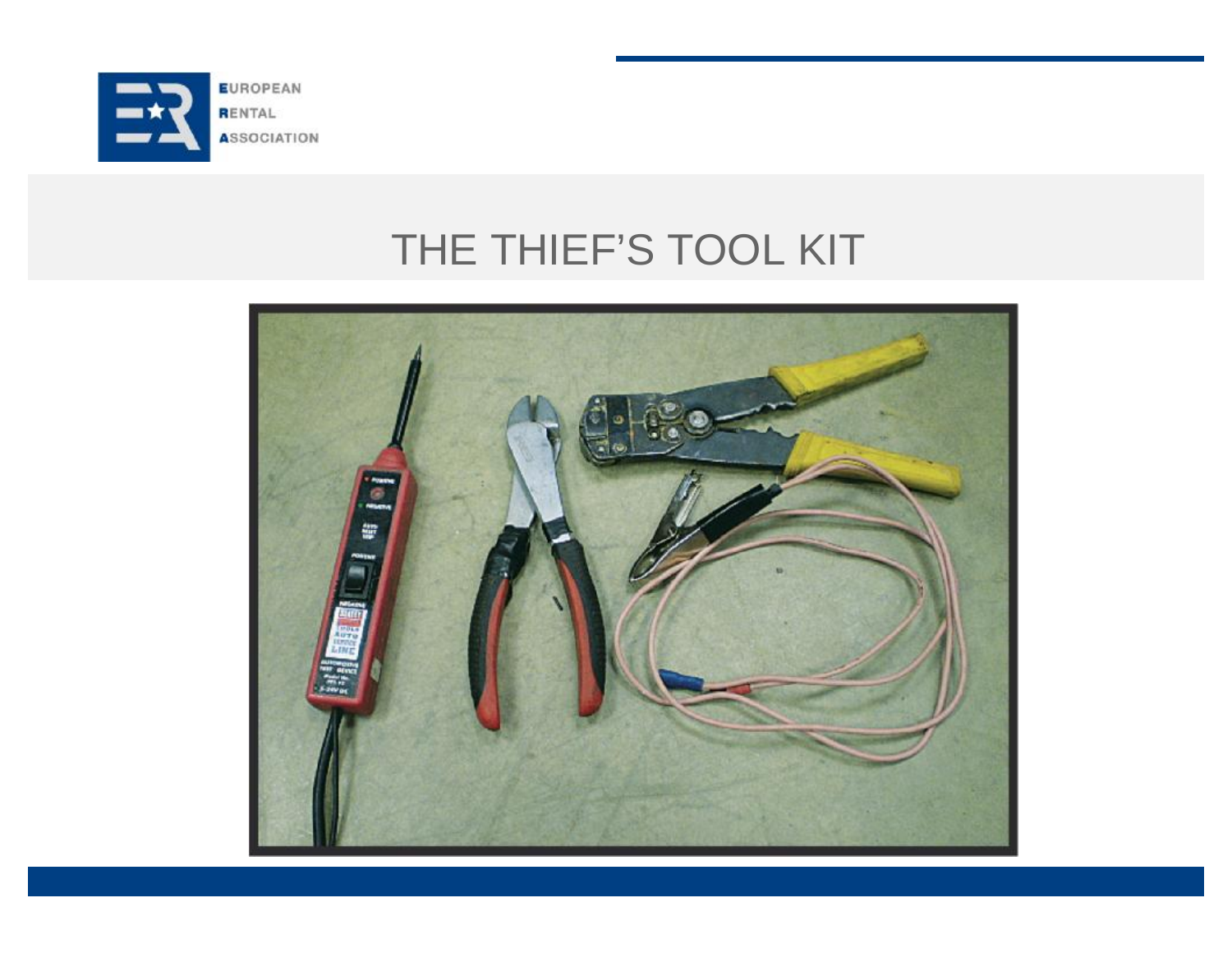

# THE THIEF'S TOOL KIT

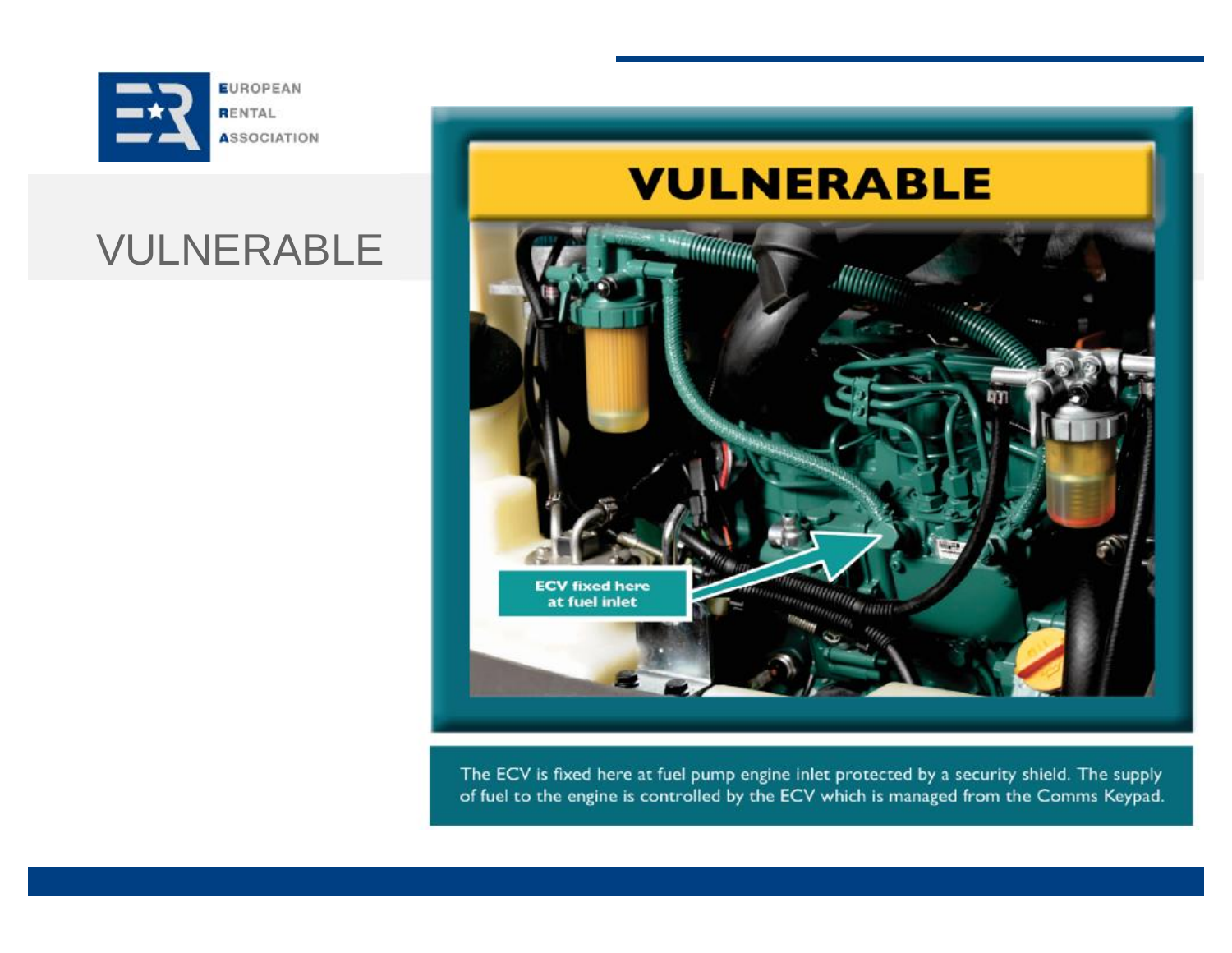

### VULNERABLE

### **VULNERABLE**



The ECV is fixed here at fuel pump engine inlet protected by a security shield. The supply of fuel to the engine is controlled by the ECV which is managed from the Comms Keypad.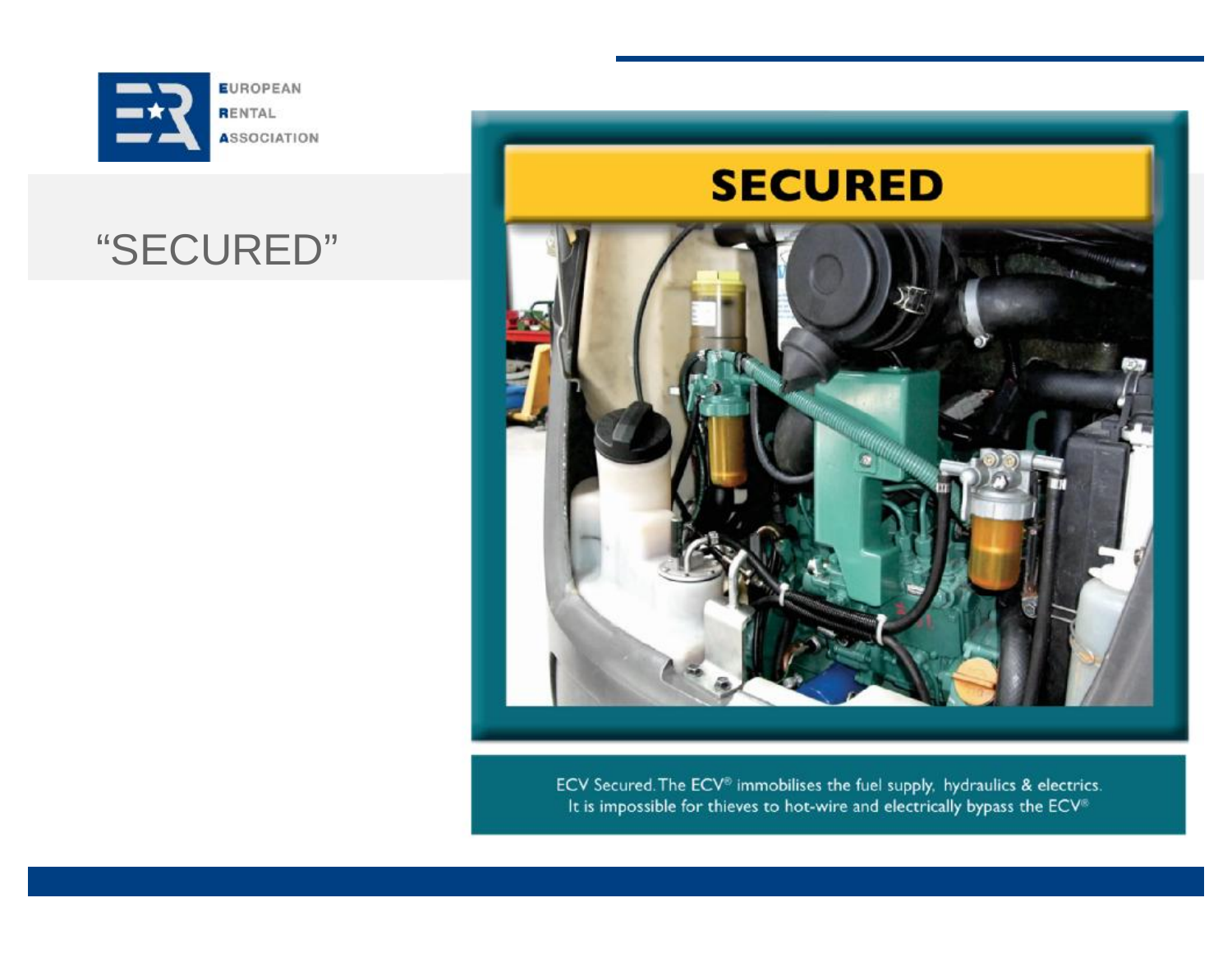

## "SECURED"

### **SECURED**



ECV Secured The ECV<sup>®</sup> immobilises the fuel supply, hydraulics & electrics. It is impossible for thieves to hot-wire and electrically bypass the ECV<sup>®</sup>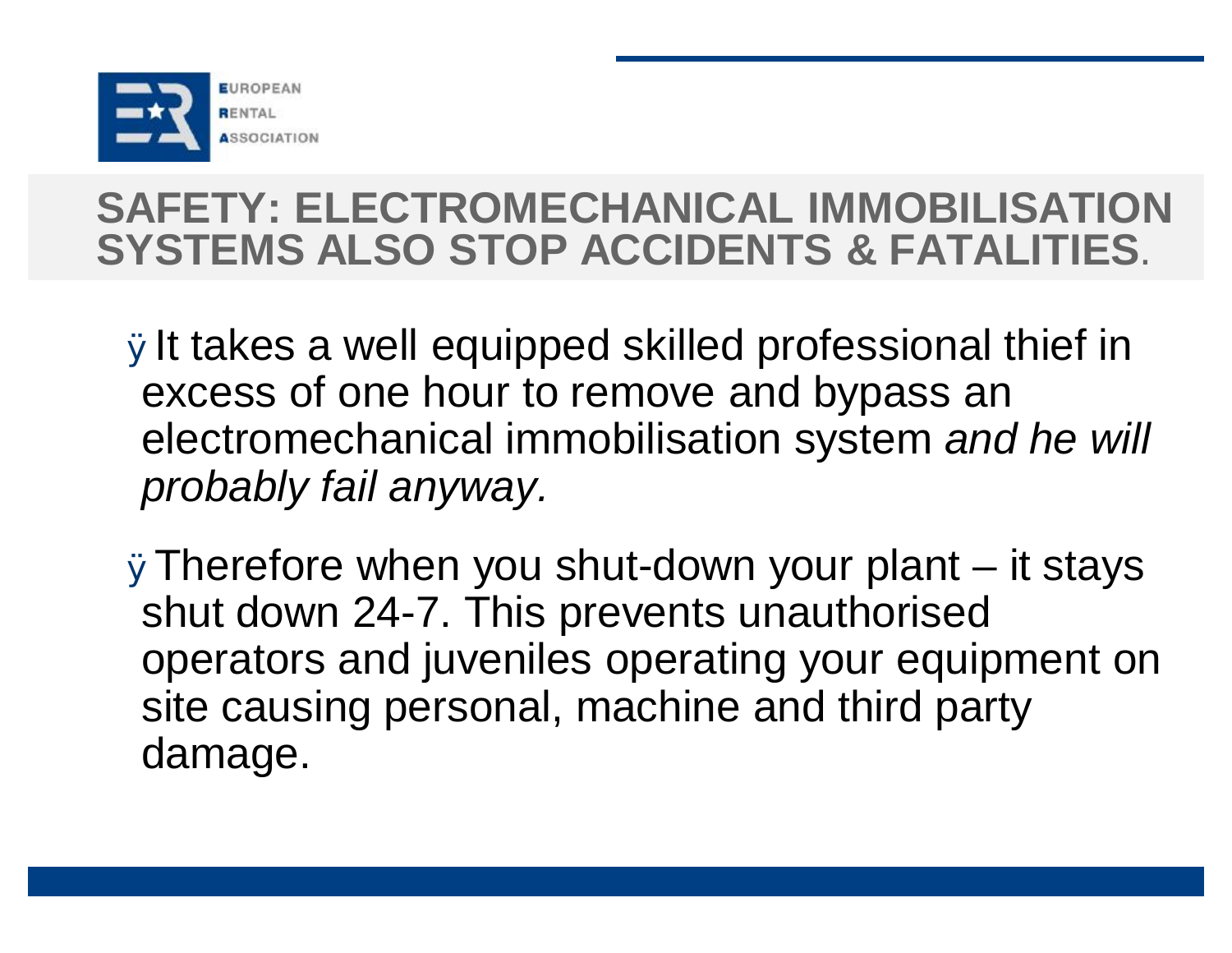

## **SAFETY: ELECTROMECHANICAL IMMOBILISATION SYSTEMS ALSO STOP ACCIDENTS & FATALITIES**.

ØIt takes a well equipped skilled professional thief in excess of one hour to remove and bypass an electromechanical immobilisation system *and he will probably fail anyway.*

ØTherefore when you shut-down your plant – it stays shut down 24-7. This prevents unauthorised operators and juveniles operating your equipment on site causing personal, machine and third party damage.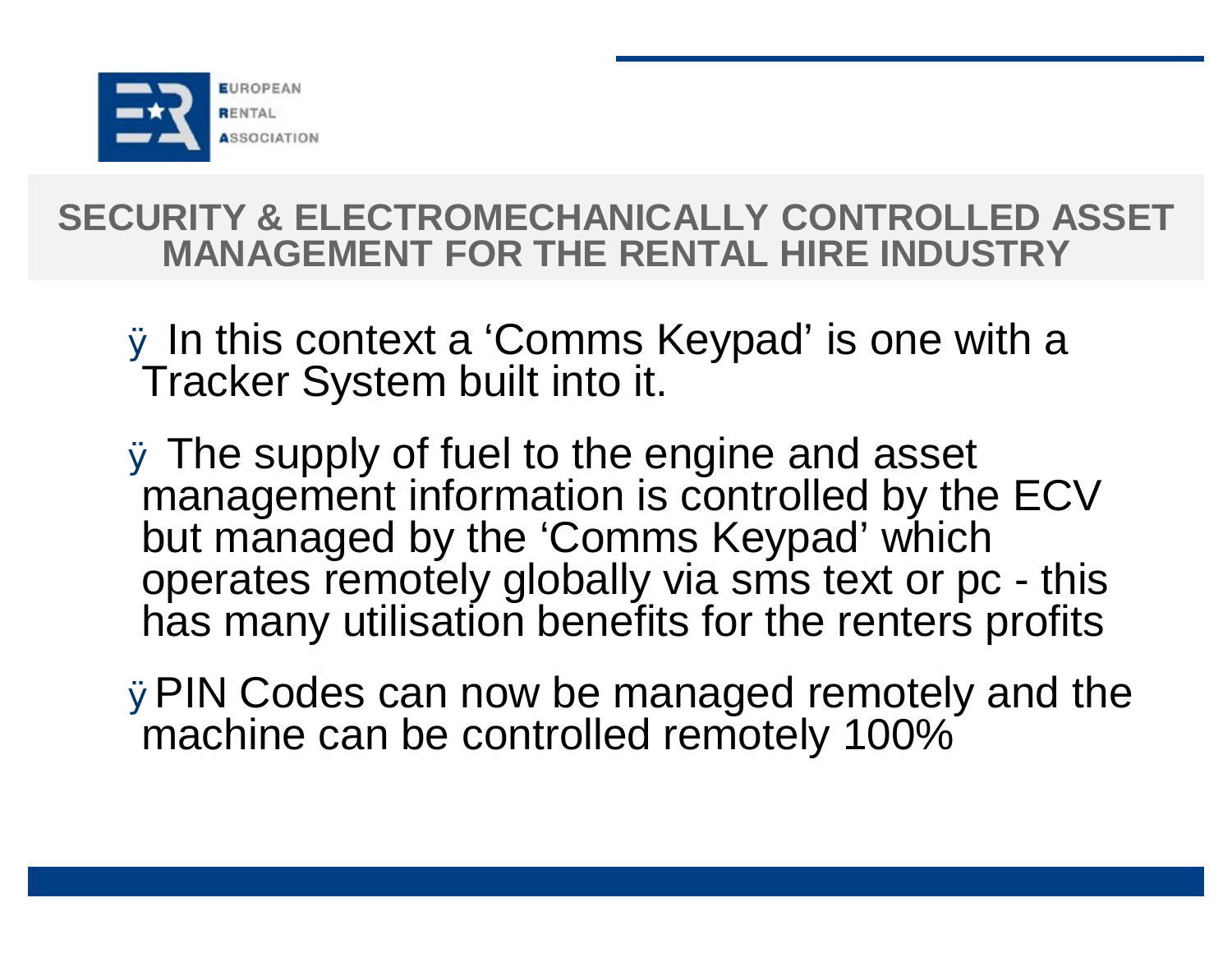

#### **SECURITY & ELECTROMECHANICALLY CONTROLLED ASSET MANAGEMENT FOR THE RENTAL HIRE INDUSTRY**

- Ø In this context a 'Comms Keypad' is one with a Tracker System built into it.
- Ø The supply of fuel to the engine and asset management information is controlled by the ECV but managed by the 'Comms Keypad' which operates remotely globally via sms text or pc - this has many utilisation benefits for the renters profits
- ØPIN Codes can now be managed remotely and the machine can be controlled remotely 100%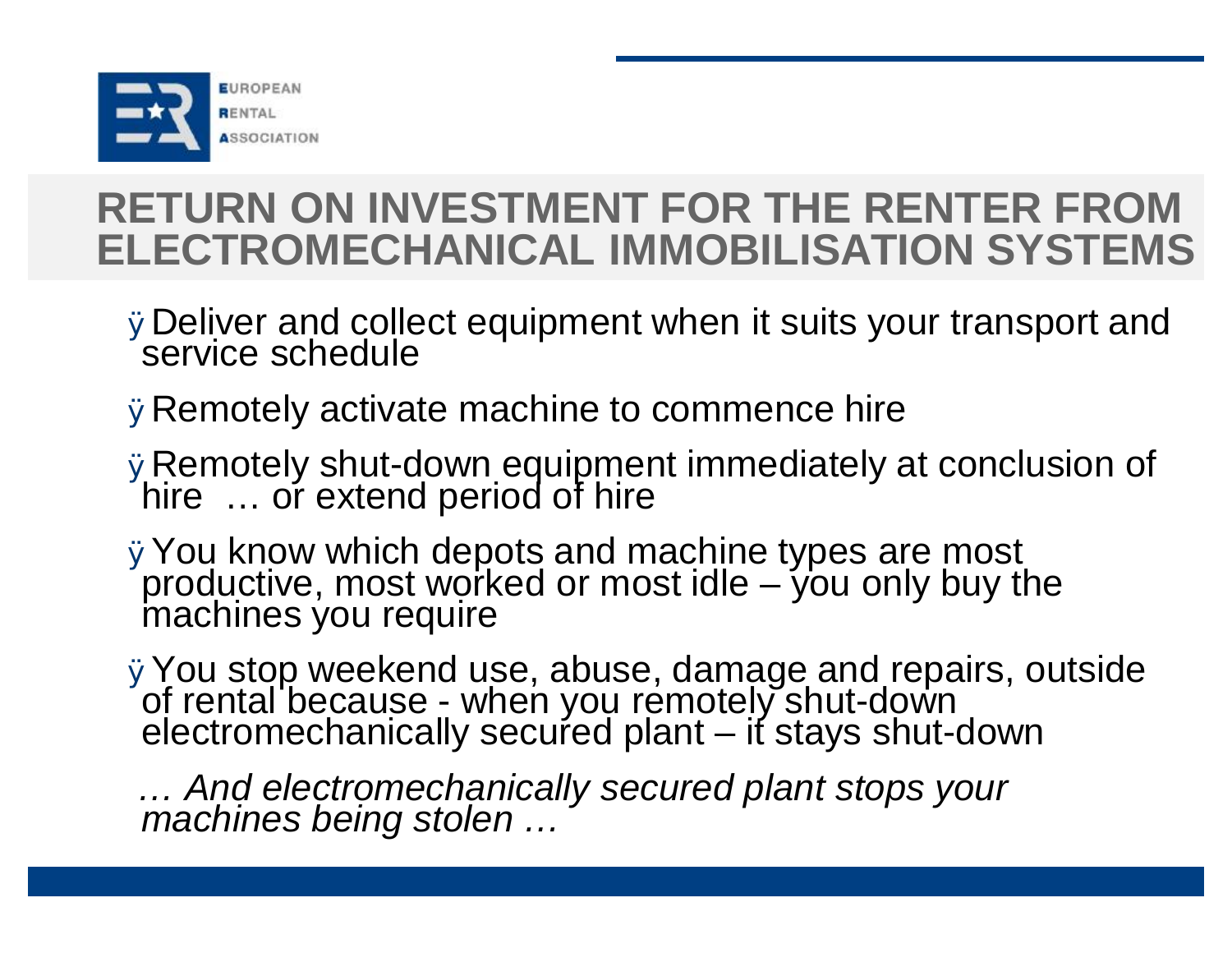

# **RETURN ON INVESTMENT FOR THE RENTER FROM ELECTROMECHANICAL IMMOBILISATION SYSTEMS**

- ØDeliver and collect equipment when it suits your transport and service schedule
- ØRemotely activate machine to commence hire
- ØRemotely shut-down equipment immediately at conclusion of hire … or extend period of hire
- ØYou know which depots and machine types are most productive, most worked or most idle – you only buy the machines you require
- ØYou stop weekend use, abuse, damage and repairs, outside of rental because - when you remotely shut-down electromechanically secured plant – it stays shut-down

*… And electromechanically secured plant stops your machines being stolen …*